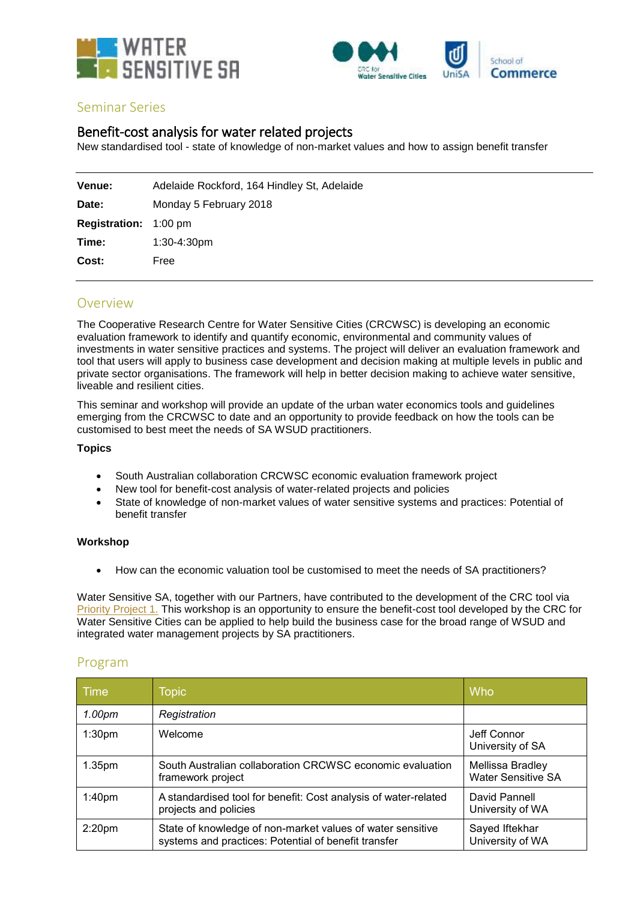



## Seminar Series

# Benefit-cost analysis for water related projects

New standardised tool - state of knowledge of non-market values and how to assign benefit transfer

| Venue:                       | Adelaide Rockford, 164 Hindley St, Adelaide |
|------------------------------|---------------------------------------------|
| Date:                        | Monday 5 February 2018                      |
| <b>Registration:</b> 1:00 pm |                                             |
| Time:                        | 1:30-4:30pm                                 |
| Cost:                        | Free                                        |

# Overview

The Cooperative Research Centre for Water Sensitive Cities (CRCWSC) is developing an economic evaluation framework to identify and quantify economic, environmental and community values of investments in water sensitive practices and systems. The project will deliver an evaluation framework and tool that users will apply to business case development and decision making at multiple levels in public and private sector organisations. The framework will help in better decision making to achieve water sensitive, liveable and resilient cities.

This seminar and workshop will provide an update of the urban water economics tools and guidelines emerging from the CRCWSC to date and an opportunity to provide feedback on how the tools can be customised to best meet the needs of SA WSUD practitioners.

### **Topics**

- South Australian collaboration CRCWSC economic evaluation framework project
- New tool for benefit-cost analysis of water-related projects and policies
- State of knowledge of non-market values of water sensitive systems and practices: Potential of benefit transfer

### **Workshop**

• How can the economic valuation tool be customised to meet the needs of SA practitioners?

Water Sensitive SA, together with our Partners, have contributed to the development of the CRC tool via [Priority Project 1.](http://www.watersensitivesa.com/funding-targets/priority-project-1-the-case-for-water-sensitive-urban-design-benefitcost-analysis/) This workshop is an opportunity to ensure the benefit-cost tool developed by the CRC for Water Sensitive Cities can be applied to help build the business case for the broad range of WSUD and integrated water management projects by SA practitioners.

## Program

| Time               | <b>Topic</b>                                                                                                       | Who                                           |
|--------------------|--------------------------------------------------------------------------------------------------------------------|-----------------------------------------------|
| 1.00 <sub>pm</sub> | Registration                                                                                                       |                                               |
| 1:30 <sub>pm</sub> | Welcome                                                                                                            | Jeff Connor<br>University of SA               |
| 1.35 <sub>pm</sub> | South Australian collaboration CRCWSC economic evaluation<br>framework project                                     | Mellissa Bradley<br><b>Water Sensitive SA</b> |
| 1:40 <sub>pm</sub> | A standardised tool for benefit: Cost analysis of water-related<br>projects and policies                           | David Pannell<br>University of WA             |
| 2:20 <sub>pm</sub> | State of knowledge of non-market values of water sensitive<br>systems and practices: Potential of benefit transfer | Sayed Iftekhar<br>University of WA            |